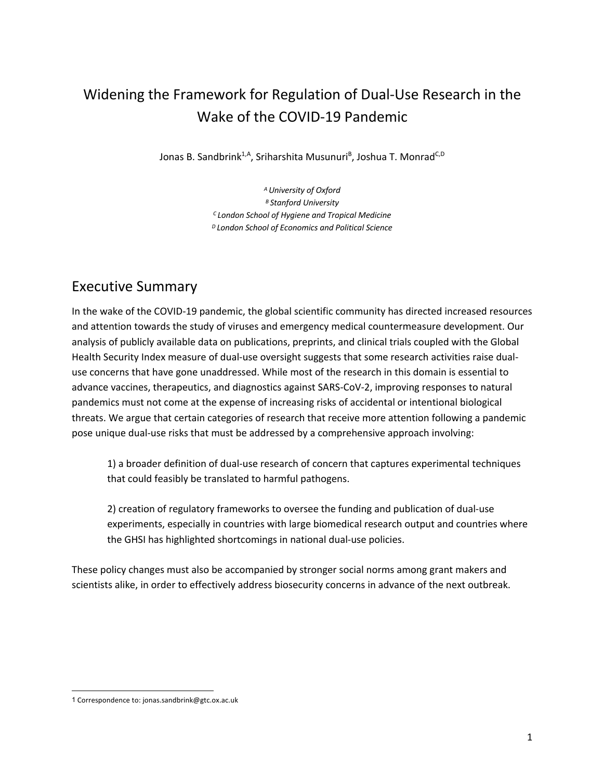# Widening the Framework for Regulation of Dual-Use Research in the Wake of the COVID-19 Pandemic

Jonas B. Sandbrink<sup>1,A</sup>, Sriharshita Musunuri<sup>8</sup>, Joshua T. Monrad<sup>C,D</sup>

*A University of Oxford B Stanford University C London School of Hygiene and Tropical Medicine D London School of Economics and Political Science*

# Executive Summary

In the wake of the COVID-19 pandemic, the global scientific community has directed increased resources and attention towards the study of viruses and emergency medical countermeasure development. Our analysis of publicly available data on publications, preprints, and clinical trials coupled with the Global Health Security Index measure of dual-use oversight suggests that some research activities raise dualuse concerns that have gone unaddressed. While most of the research in this domain is essential to advance vaccines, therapeutics, and diagnostics against SARS-CoV-2, improving responses to natural pandemics must not come at the expense of increasing risks of accidental or intentional biological threats. We argue that certain categories of research that receive more attention following a pandemic pose unique dual-use risks that must be addressed by a comprehensive approach involving:

1) a broader definition of dual-use research of concern that captures experimental techniques that could feasibly be translated to harmful pathogens.

2) creation of regulatory frameworks to oversee the funding and publication of dual-use experiments, especially in countries with large biomedical research output and countries where the GHSI has highlighted shortcomings in national dual-use policies.

These policy changes must also be accompanied by stronger social norms among grant makers and scientists alike, in order to effectively address biosecurity concerns in advance of the next outbreak.

<sup>1</sup> Correspondence to: jonas.sandbrink@gtc.ox.ac.uk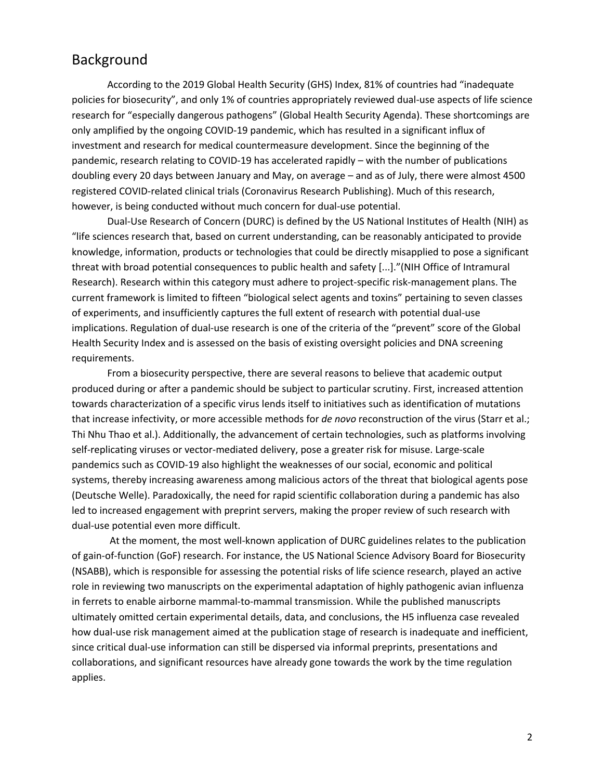# Background

According to the 2019 Global Health Security (GHS) Index, 81% of countries had "inadequate policies for biosecurity", and only 1% of countries appropriately reviewed dual-use aspects of life science research for "especially dangerous pathogens" (Global Health Security Agenda). These shortcomings are only amplified by the ongoing COVID-19 pandemic, which has resulted in a significant influx of investment and research for medical countermeasure development. Since the beginning of the pandemic, research relating to COVID-19 has accelerated rapidly – with the number of publications doubling every 20 days between January and May, on average – and as of July, there were almost 4500 registered COVID-related clinical trials (Coronavirus Research Publishing). Much of this research, however, is being conducted without much concern for dual-use potential.

Dual-Use Research of Concern (DURC) is defined by the US National Institutes of Health (NIH) as "life sciences research that, based on current understanding, can be reasonably anticipated to provide knowledge, information, products or technologies that could be directly misapplied to pose a significant threat with broad potential consequences to public health and safety [...]."(NIH Office of Intramural Research). Research within this category must adhere to project-specific risk-management plans. The current framework is limited to fifteen "biological select agents and toxins" pertaining to seven classes of experiments, and insufficiently captures the full extent of research with potential dual-use implications. Regulation of dual-use research is one of the criteria of the "prevent" score of the Global Health Security Index and is assessed on the basis of existing oversight policies and DNA screening requirements.

From a biosecurity perspective, there are several reasons to believe that academic output produced during or after a pandemic should be subject to particular scrutiny. First, increased attention towards characterization of a specific virus lends itself to initiatives such as identification of mutations that increase infectivity, or more accessible methods for *de novo* reconstruction of the virus (Starr et al.; Thi Nhu Thao et al.). Additionally, the advancement of certain technologies, such as platforms involving self-replicating viruses or vector-mediated delivery, pose a greater risk for misuse. Large-scale pandemics such as COVID-19 also highlight the weaknesses of our social, economic and political systems, thereby increasing awareness among malicious actors of the threat that biological agents pose (Deutsche Welle). Paradoxically, the need for rapid scientific collaboration during a pandemic has also led to increased engagement with preprint servers, making the proper review of such research with dual-use potential even more difficult.

At the moment, the most well-known application of DURC guidelines relates to the publication of gain-of-function (GoF) research. For instance, the US National Science Advisory Board for Biosecurity (NSABB), which is responsible for assessing the potential risks of life science research, played an active role in reviewing two manuscripts on the experimental adaptation of highly pathogenic avian influenza in ferrets to enable airborne mammal-to-mammal transmission. While the published manuscripts ultimately omitted certain experimental details, data, and conclusions, the H5 influenza case revealed how dual-use risk management aimed at the publication stage of research is inadequate and inefficient, since critical dual-use information can still be dispersed via informal preprints, presentations and collaborations, and significant resources have already gone towards the work by the time regulation applies.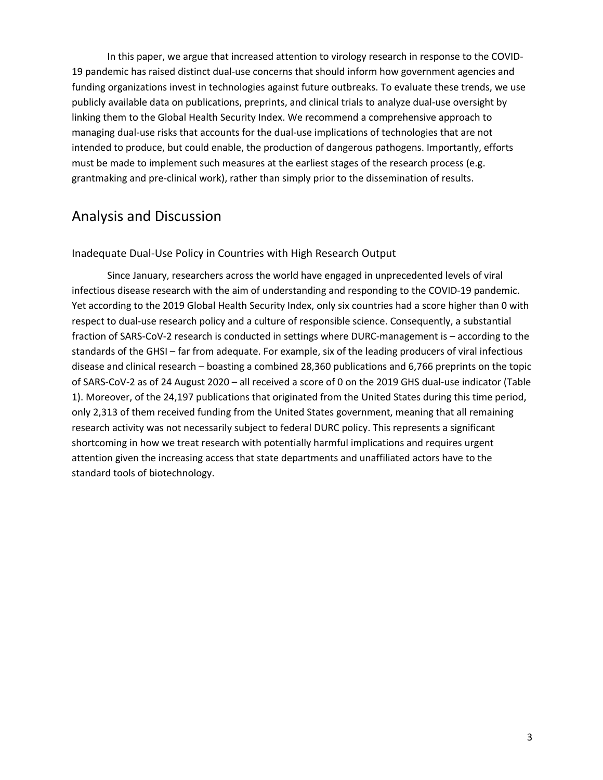In this paper, we argue that increased attention to virology research in response to the COVID-19 pandemic has raised distinct dual-use concerns that should inform how government agencies and funding organizations invest in technologies against future outbreaks. To evaluate these trends, we use publicly available data on publications, preprints, and clinical trials to analyze dual-use oversight by linking them to the Global Health Security Index. We recommend a comprehensive approach to managing dual-use risks that accounts for the dual-use implications of technologies that are not intended to produce, but could enable, the production of dangerous pathogens. Importantly, efforts must be made to implement such measures at the earliest stages of the research process (e.g. grantmaking and pre-clinical work), rather than simply prior to the dissemination of results.

# Analysis and Discussion

### Inadequate Dual-Use Policy in Countries with High Research Output

Since January, researchers across the world have engaged in unprecedented levels of viral infectious disease research with the aim of understanding and responding to the COVID-19 pandemic. Yet according to the 2019 Global Health Security Index, only six countries had a score higher than 0 with respect to dual-use research policy and a culture of responsible science. Consequently, a substantial fraction of SARS-CoV-2 research is conducted in settings where DURC-management is – according to the standards of the GHSI – far from adequate. For example, six of the leading producers of viral infectious disease and clinical research – boasting a combined 28,360 publications and 6,766 preprints on the topic of SARS-CoV-2 as of 24 August 2020 – all received a score of 0 on the 2019 GHS dual-use indicator (Table 1). Moreover, of the 24,197 publications that originated from the United States during this time period, only 2,313 of them received funding from the United States government, meaning that all remaining research activity was not necessarily subject to federal DURC policy. This represents a significant shortcoming in how we treat research with potentially harmful implications and requires urgent attention given the increasing access that state departments and unaffiliated actors have to the standard tools of biotechnology.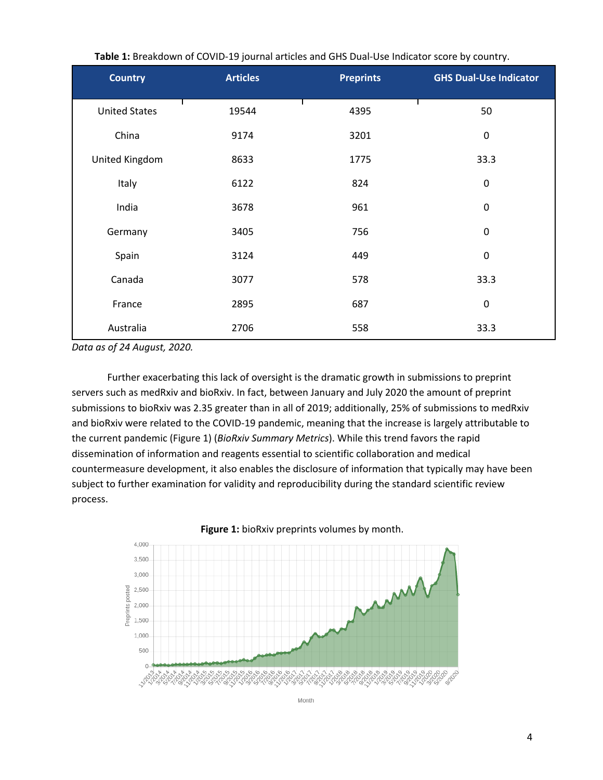| <b>Country</b>       | <b>Articles</b> | <b>Preprints</b> | <b>GHS Dual-Use Indicator</b> |
|----------------------|-----------------|------------------|-------------------------------|
| <b>United States</b> | 19544           | 4395             | 50                            |
| China                | 9174            | 3201             | $\pmb{0}$                     |
| United Kingdom       | 8633            | 1775             | 33.3                          |
| Italy                | 6122            | 824              | $\pmb{0}$                     |
| India                | 3678            | 961              | $\mathbf 0$                   |
| Germany              | 3405            | 756              | $\pmb{0}$                     |
| Spain                | 3124            | 449              | $\mathbf 0$                   |
| Canada               | 3077            | 578              | 33.3                          |
| France               | 2895            | 687              | $\pmb{0}$                     |
| Australia            | 2706            | 558              | 33.3                          |

**Table 1:** Breakdown of COVID-19 journal articles and GHS Dual-Use Indicator score by country.

*Data as of 24 August, 2020.*

Further exacerbating this lack of oversight is the dramatic growth in submissions to preprint servers such as medRxiv and bioRxiv. In fact, between January and July 2020 the amount of preprint submissions to bioRxiv was 2.35 greater than in all of 2019; additionally, 25% of submissions to medRxiv and bioRxiv were related to the COVID-19 pandemic, meaning that the increase is largely attributable to the current pandemic (Figure 1) (*BioRxiv Summary Metrics*). While this trend favors the rapid dissemination of information and reagents essential to scientific collaboration and medical countermeasure development, it also enables the disclosure of information that typically may have been subject to further examination for validity and reproducibility during the standard scientific review process.



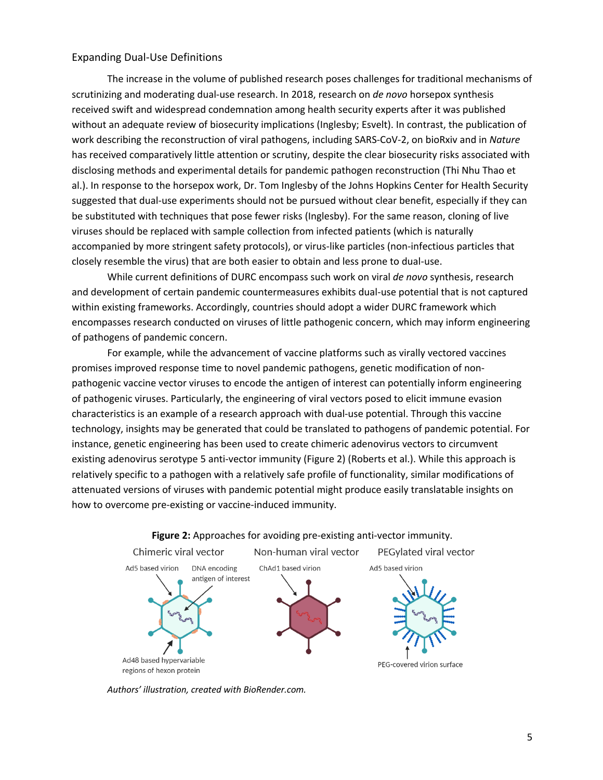### Expanding Dual-Use Definitions

The increase in the volume of published research poses challenges for traditional mechanisms of scrutinizing and moderating dual-use research. In 2018, research on *de novo* horsepox synthesis received swift and widespread condemnation among health security experts after it was published without an adequate review of biosecurity implications (Inglesby; Esvelt). In contrast, the publication of work describing the reconstruction of viral pathogens, including SARS-CoV-2, on bioRxiv and in *Nature* has received comparatively little attention or scrutiny, despite the clear biosecurity risks associated with disclosing methods and experimental details for pandemic pathogen reconstruction (Thi Nhu Thao et al.). In response to the horsepox work, Dr. Tom Inglesby of the Johns Hopkins Center for Health Security suggested that dual-use experiments should not be pursued without clear benefit, especially if they can be substituted with techniques that pose fewer risks (Inglesby). For the same reason, cloning of live viruses should be replaced with sample collection from infected patients (which is naturally accompanied by more stringent safety protocols), or virus-like particles (non-infectious particles that closely resemble the virus) that are both easier to obtain and less prone to dual-use.

While current definitions of DURC encompass such work on viral *de novo* synthesis, research and development of certain pandemic countermeasures exhibits dual-use potential that is not captured within existing frameworks. Accordingly, countries should adopt a wider DURC framework which encompasses research conducted on viruses of little pathogenic concern, which may inform engineering of pathogens of pandemic concern.

For example, while the advancement of vaccine platforms such as virally vectored vaccines promises improved response time to novel pandemic pathogens, genetic modification of nonpathogenic vaccine vector viruses to encode the antigen of interest can potentially inform engineering of pathogenic viruses. Particularly, the engineering of viral vectors posed to elicit immune evasion characteristics is an example of a research approach with dual-use potential. Through this vaccine technology, insights may be generated that could be translated to pathogens of pandemic potential. For instance, genetic engineering has been used to create chimeric adenovirus vectors to circumvent existing adenovirus serotype 5 anti-vector immunity (Figure 2) (Roberts et al.). While this approach is relatively specific to a pathogen with a relatively safe profile of functionality, similar modifications of attenuated versions of viruses with pandemic potential might produce easily translatable insights on how to overcome pre-existing or vaccine-induced immunity.



#### **Figure 2:** Approaches for avoiding pre-existing anti-vector immunity.

*Authors' illustration, created with BioRender.com.*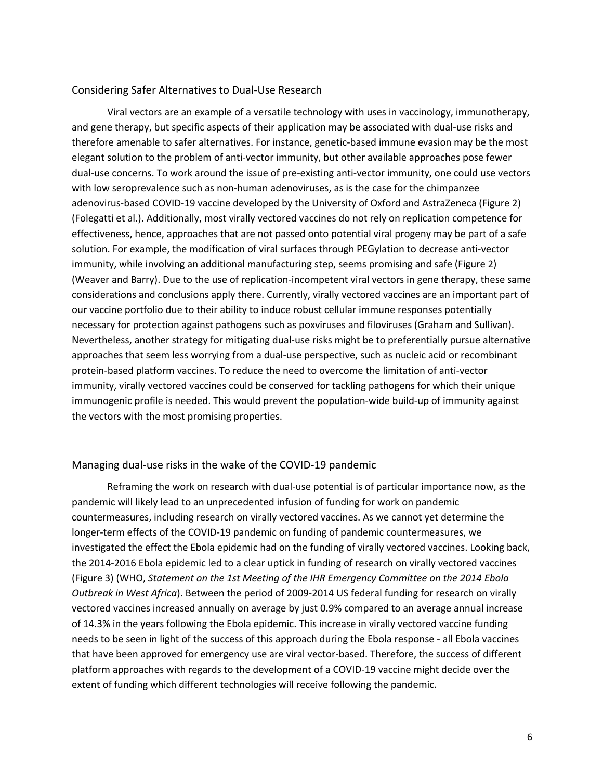#### Considering Safer Alternatives to Dual-Use Research

Viral vectors are an example of a versatile technology with uses in vaccinology, immunotherapy, and gene therapy, but specific aspects of their application may be associated with dual-use risks and therefore amenable to safer alternatives. For instance, genetic-based immune evasion may be the most elegant solution to the problem of anti-vector immunity, but other available approaches pose fewer dual-use concerns. To work around the issue of pre-existing anti-vector immunity, one could use vectors with low seroprevalence such as non-human adenoviruses, as is the case for the chimpanzee adenovirus-based COVID-19 vaccine developed by the University of Oxford and AstraZeneca (Figure 2) (Folegatti et al.). Additionally, most virally vectored vaccines do not rely on replication competence for effectiveness, hence, approaches that are not passed onto potential viral progeny may be part of a safe solution. For example, the modification of viral surfaces through PEGylation to decrease anti-vector immunity, while involving an additional manufacturing step, seems promising and safe (Figure 2) (Weaver and Barry). Due to the use of replication-incompetent viral vectors in gene therapy, these same considerations and conclusions apply there. Currently, virally vectored vaccines are an important part of our vaccine portfolio due to their ability to induce robust cellular immune responses potentially necessary for protection against pathogens such as poxviruses and filoviruses (Graham and Sullivan). Nevertheless, another strategy for mitigating dual-use risks might be to preferentially pursue alternative approaches that seem less worrying from a dual-use perspective, such as nucleic acid or recombinant protein-based platform vaccines. To reduce the need to overcome the limitation of anti-vector immunity, virally vectored vaccines could be conserved for tackling pathogens for which their unique immunogenic profile is needed. This would prevent the population-wide build-up of immunity against the vectors with the most promising properties.

### Managing dual-use risks in the wake of the COVID-19 pandemic

Reframing the work on research with dual-use potential is of particular importance now, as the pandemic will likely lead to an unprecedented infusion of funding for work on pandemic countermeasures, including research on virally vectored vaccines. As we cannot yet determine the longer-term effects of the COVID-19 pandemic on funding of pandemic countermeasures, we investigated the effect the Ebola epidemic had on the funding of virally vectored vaccines. Looking back, the 2014-2016 Ebola epidemic led to a clear uptick in funding of research on virally vectored vaccines (Figure 3) (WHO, *Statement on the 1st Meeting of the IHR Emergency Committee on the 2014 Ebola Outbreak in West Africa*). Between the period of 2009-2014 US federal funding for research on virally vectored vaccines increased annually on average by just 0.9% compared to an average annual increase of 14.3% in the years following the Ebola epidemic. This increase in virally vectored vaccine funding needs to be seen in light of the success of this approach during the Ebola response - all Ebola vaccines that have been approved for emergency use are viral vector-based. Therefore, the success of different platform approaches with regards to the development of a COVID-19 vaccine might decide over the extent of funding which different technologies will receive following the pandemic.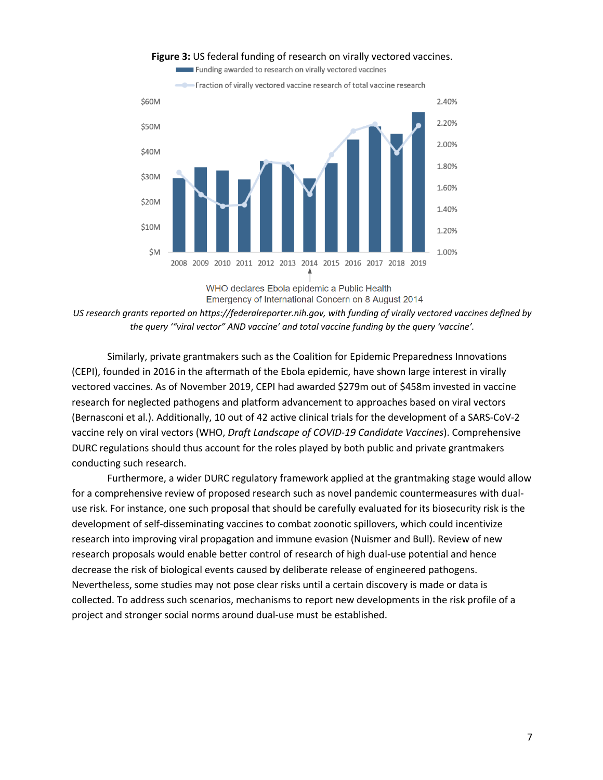

### **Figure 3:** US federal funding of research on virally vectored vaccines.

Funding awarded to research on virally vectored vaccines

WHO declares Ebola epidemic a Public Health Emergency of International Concern on 8 August 2014

*US research grants reported on https://federalreporter.nih.gov, with funding of virally vectored vaccines defined by the query '"viral vector" AND vaccine' and total vaccine funding by the query 'vaccine'.*

Similarly, private grantmakers such as the Coalition for Epidemic Preparedness Innovations (CEPI), founded in 2016 in the aftermath of the Ebola epidemic, have shown large interest in virally vectored vaccines. As of November 2019, CEPI had awarded \$279m out of \$458m invested in vaccine research for neglected pathogens and platform advancement to approaches based on viral vectors (Bernasconi et al.). Additionally, 10 out of 42 active clinical trials for the development of a SARS-CoV-2 vaccine rely on viral vectors (WHO, *Draft Landscape of COVID-19 Candidate Vaccines*). Comprehensive DURC regulations should thus account for the roles played by both public and private grantmakers conducting such research.

Furthermore, a wider DURC regulatory framework applied at the grantmaking stage would allow for a comprehensive review of proposed research such as novel pandemic countermeasures with dualuse risk. For instance, one such proposal that should be carefully evaluated for its biosecurity risk is the development of self-disseminating vaccines to combat zoonotic spillovers, which could incentivize research into improving viral propagation and immune evasion (Nuismer and Bull). Review of new research proposals would enable better control of research of high dual-use potential and hence decrease the risk of biological events caused by deliberate release of engineered pathogens. Nevertheless, some studies may not pose clear risks until a certain discovery is made or data is collected. To address such scenarios, mechanisms to report new developments in the risk profile of a project and stronger social norms around dual-use must be established.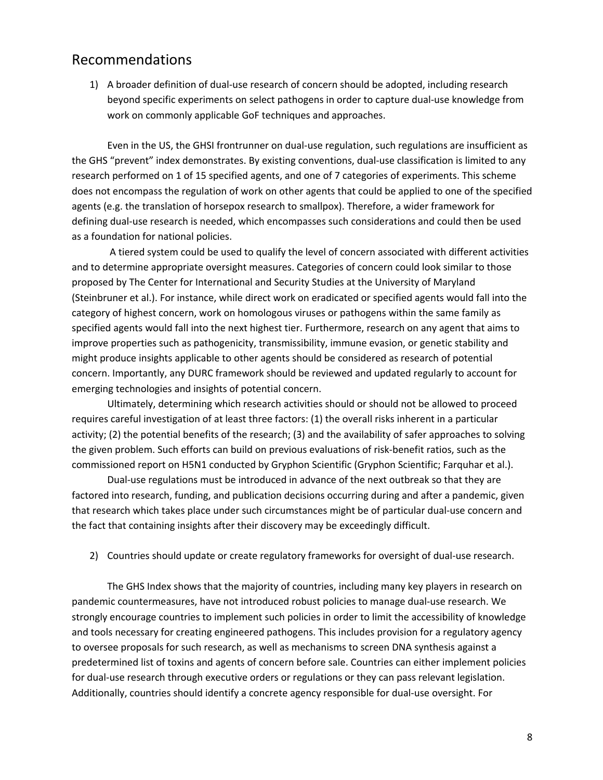### Recommendations

1) A broader definition of dual-use research of concern should be adopted, including research beyond specific experiments on select pathogens in order to capture dual-use knowledge from work on commonly applicable GoF techniques and approaches.

Even in the US, the GHSI frontrunner on dual-use regulation, such regulations are insufficient as the GHS "prevent" index demonstrates. By existing conventions, dual-use classification is limited to any research performed on 1 of 15 specified agents, and one of 7 categories of experiments. This scheme does not encompass the regulation of work on other agents that could be applied to one of the specified agents (e.g. the translation of horsepox research to smallpox). Therefore, a wider framework for defining dual-use research is needed, which encompasses such considerations and could then be used as a foundation for national policies.

A tiered system could be used to qualify the level of concern associated with different activities and to determine appropriate oversight measures. Categories of concern could look similar to those proposed by The Center for International and Security Studies at the University of Maryland (Steinbruner et al.). For instance, while direct work on eradicated or specified agents would fall into the category of highest concern, work on homologous viruses or pathogens within the same family as specified agents would fall into the next highest tier. Furthermore, research on any agent that aims to improve properties such as pathogenicity, transmissibility, immune evasion, or genetic stability and might produce insights applicable to other agents should be considered as research of potential concern. Importantly, any DURC framework should be reviewed and updated regularly to account for emerging technologies and insights of potential concern.

Ultimately, determining which research activities should or should not be allowed to proceed requires careful investigation of at least three factors: (1) the overall risks inherent in a particular activity; (2) the potential benefits of the research; (3) and the availability of safer approaches to solving the given problem. Such efforts can build on previous evaluations of risk-benefit ratios, such as the commissioned report on H5N1 conducted by Gryphon Scientific (Gryphon Scientific; Farquhar et al.).

Dual-use regulations must be introduced in advance of the next outbreak so that they are factored into research, funding, and publication decisions occurring during and after a pandemic, given that research which takes place under such circumstances might be of particular dual-use concern and the fact that containing insights after their discovery may be exceedingly difficult.

### 2) Countries should update or create regulatory frameworks for oversight of dual-use research.

The GHS Index shows that the majority of countries, including many key players in research on pandemic countermeasures, have not introduced robust policies to manage dual-use research. We strongly encourage countries to implement such policies in order to limit the accessibility of knowledge and tools necessary for creating engineered pathogens. This includes provision for a regulatory agency to oversee proposals for such research, as well as mechanisms to screen DNA synthesis against a predetermined list of toxins and agents of concern before sale. Countries can either implement policies for dual-use research through executive orders or regulations or they can pass relevant legislation. Additionally, countries should identify a concrete agency responsible for dual-use oversight. For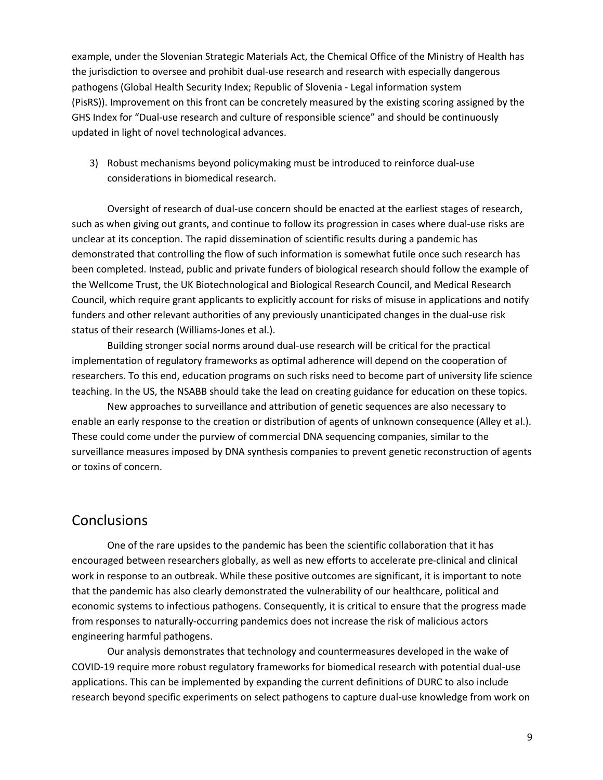example, under the Slovenian Strategic Materials Act, the Chemical Office of the Ministry of Health has the jurisdiction to oversee and prohibit dual-use research and research with especially dangerous pathogens (Global Health Security Index; Republic of Slovenia - Legal information system (PisRS)). Improvement on this front can be concretely measured by the existing scoring assigned by the GHS Index for "Dual-use research and culture of responsible science" and should be continuously updated in light of novel technological advances.

3) Robust mechanisms beyond policymaking must be introduced to reinforce dual-use considerations in biomedical research.

Oversight of research of dual-use concern should be enacted at the earliest stages of research, such as when giving out grants, and continue to follow its progression in cases where dual-use risks are unclear at its conception. The rapid dissemination of scientific results during a pandemic has demonstrated that controlling the flow of such information is somewhat futile once such research has been completed. Instead, public and private funders of biological research should follow the example of the Wellcome Trust, the UK Biotechnological and Biological Research Council, and Medical Research Council, which require grant applicants to explicitly account for risks of misuse in applications and notify funders and other relevant authorities of any previously unanticipated changes in the dual-use risk status of their research (Williams-Jones et al.).

Building stronger social norms around dual-use research will be critical for the practical implementation of regulatory frameworks as optimal adherence will depend on the cooperation of researchers. To this end, education programs on such risks need to become part of university life science teaching. In the US, the NSABB should take the lead on creating guidance for education on these topics.

New approaches to surveillance and attribution of genetic sequences are also necessary to enable an early response to the creation or distribution of agents of unknown consequence (Alley et al.). These could come under the purview of commercial DNA sequencing companies, similar to the surveillance measures imposed by DNA synthesis companies to prevent genetic reconstruction of agents or toxins of concern.

# **Conclusions**

One of the rare upsides to the pandemic has been the scientific collaboration that it has encouraged between researchers globally, as well as new efforts to accelerate pre-clinical and clinical work in response to an outbreak. While these positive outcomes are significant, it is important to note that the pandemic has also clearly demonstrated the vulnerability of our healthcare, political and economic systems to infectious pathogens. Consequently, it is critical to ensure that the progress made from responses to naturally-occurring pandemics does not increase the risk of malicious actors engineering harmful pathogens.

Our analysis demonstrates that technology and countermeasures developed in the wake of COVID-19 require more robust regulatory frameworks for biomedical research with potential dual-use applications. This can be implemented by expanding the current definitions of DURC to also include research beyond specific experiments on select pathogens to capture dual-use knowledge from work on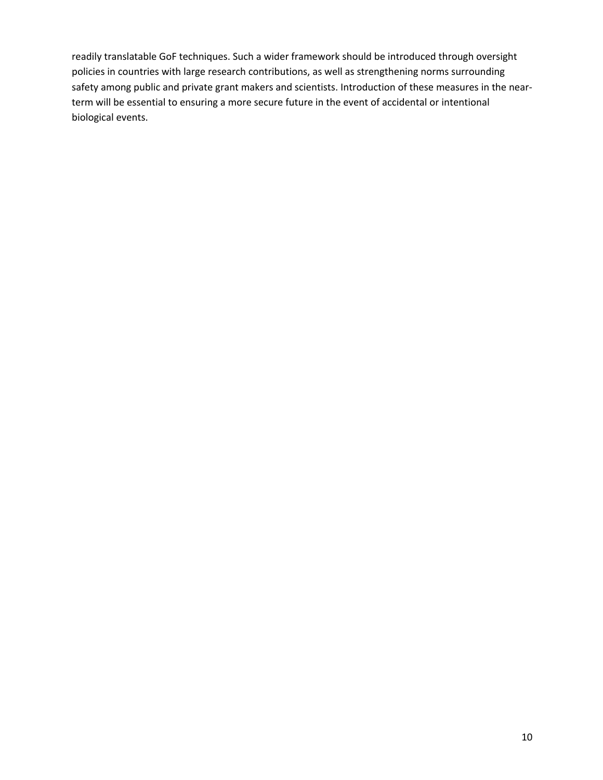readily translatable GoF techniques. Such a wider framework should be introduced through oversight policies in countries with large research contributions, as well as strengthening norms surrounding safety among public and private grant makers and scientists. Introduction of these measures in the nearterm will be essential to ensuring a more secure future in the event of accidental or intentional biological events.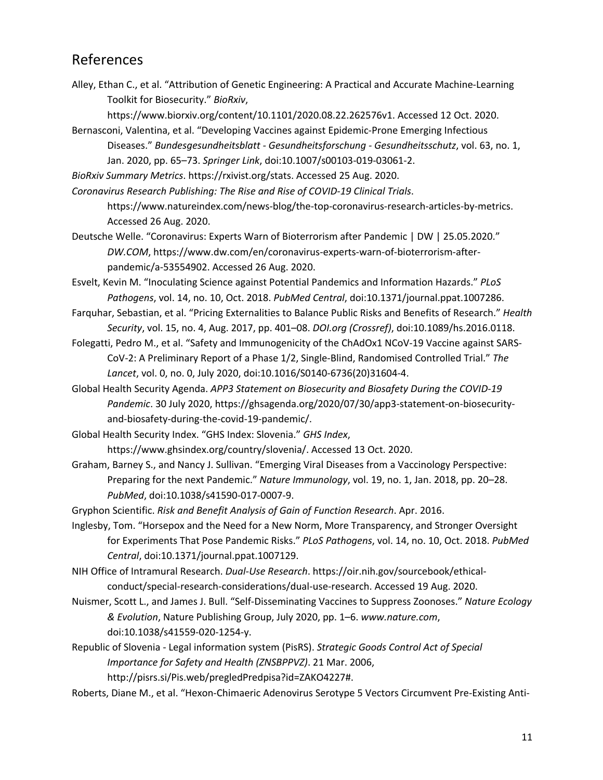# References

Alley, Ethan C., et al. "Attribution of Genetic Engineering: A Practical and Accurate Machine-Learning Toolkit for Biosecurity." *BioRxiv*,

https://www.biorxiv.org/content/10.1101/2020.08.22.262576v1. Accessed 12 Oct. 2020.

Bernasconi, Valentina, et al. "Developing Vaccines against Epidemic-Prone Emerging Infectious Diseases." *Bundesgesundheitsblatt - Gesundheitsforschung - Gesundheitsschutz*, vol. 63, no. 1, Jan. 2020, pp. 65–73. *Springer Link*, doi:10.1007/s00103-019-03061-2.

*BioRxiv Summary Metrics*. https://rxivist.org/stats. Accessed 25 Aug. 2020.

*Coronavirus Research Publishing: The Rise and Rise of COVID-19 Clinical Trials*.

https://www.natureindex.com/news-blog/the-top-coronavirus-research-articles-by-metrics. Accessed 26 Aug. 2020.

Deutsche Welle. "Coronavirus: Experts Warn of Bioterrorism after Pandemic | DW | 25.05.2020." *DW.COM*, https://www.dw.com/en/coronavirus-experts-warn-of-bioterrorism-afterpandemic/a-53554902. Accessed 26 Aug. 2020.

Esvelt, Kevin M. "Inoculating Science against Potential Pandemics and Information Hazards." *PLoS Pathogens*, vol. 14, no. 10, Oct. 2018. *PubMed Central*, doi:10.1371/journal.ppat.1007286.

- Farquhar, Sebastian, et al. "Pricing Externalities to Balance Public Risks and Benefits of Research." *Health Security*, vol. 15, no. 4, Aug. 2017, pp. 401–08. *DOI.org (Crossref)*, doi:10.1089/hs.2016.0118.
- Folegatti, Pedro M., et al. "Safety and Immunogenicity of the ChAdOx1 NCoV-19 Vaccine against SARS-CoV-2: A Preliminary Report of a Phase 1/2, Single-Blind, Randomised Controlled Trial." *The Lancet*, vol. 0, no. 0, July 2020, doi:10.1016/S0140-6736(20)31604-4.
- Global Health Security Agenda. *APP3 Statement on Biosecurity and Biosafety During the COVID-19 Pandemic*. 30 July 2020, https://ghsagenda.org/2020/07/30/app3-statement-on-biosecurityand-biosafety-during-the-covid-19-pandemic/.

Global Health Security Index. "GHS Index: Slovenia." *GHS Index*, https://www.ghsindex.org/country/slovenia/. Accessed 13 Oct. 2020.

Graham, Barney S., and Nancy J. Sullivan. "Emerging Viral Diseases from a Vaccinology Perspective: Preparing for the next Pandemic." *Nature Immunology*, vol. 19, no. 1, Jan. 2018, pp. 20–28. *PubMed*, doi:10.1038/s41590-017-0007-9.

Gryphon Scientific. *Risk and Benefit Analysis of Gain of Function Research*. Apr. 2016.

Inglesby, Tom. "Horsepox and the Need for a New Norm, More Transparency, and Stronger Oversight for Experiments That Pose Pandemic Risks." *PLoS Pathogens*, vol. 14, no. 10, Oct. 2018. *PubMed Central*, doi:10.1371/journal.ppat.1007129.

NIH Office of Intramural Research. *Dual-Use Research*. https://oir.nih.gov/sourcebook/ethicalconduct/special-research-considerations/dual-use-research. Accessed 19 Aug. 2020.

- Nuismer, Scott L., and James J. Bull. "Self-Disseminating Vaccines to Suppress Zoonoses." *Nature Ecology & Evolution*, Nature Publishing Group, July 2020, pp. 1–6. *www.nature.com*, doi:10.1038/s41559-020-1254-y.
- Republic of Slovenia Legal information system (PisRS). *Strategic Goods Control Act of Special Importance for Safety and Health (ZNSBPPVZ)*. 21 Mar. 2006, http://pisrs.si/Pis.web/pregledPredpisa?id=ZAKO4227#.

Roberts, Diane M., et al. "Hexon-Chimaeric Adenovirus Serotype 5 Vectors Circumvent Pre-Existing Anti-